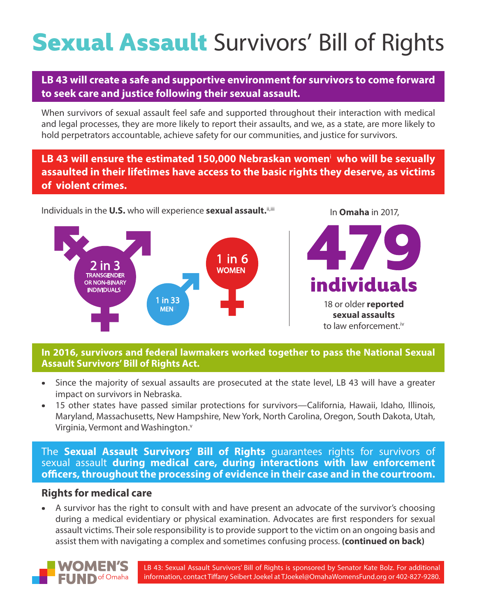# **Sexual Assault** Survivors' Bill of Rights

## **LB 43 will create a safe and supportive environment for survivors to come forward to seek care and justice following their sexual assault.**

When survivors of sexual assault feel safe and supported throughout their interaction with medical and legal processes, they are more likely to report their assaults, and we, as a state, are more likely to hold perpetrators accountable, achieve safety for our communities, and justice for survivors.

**LB 43 will ensure the estimated 150,000 Nebraskan women**<sup>i</sup>  **who will be sexually assaulted in their lifetimes have access to the basic rights they deserve, as victims of violent crimes.**

In **Omaha** in 2017,

Individuals in the U.S. who will experience sexual assault. ii,iii



#### **In 2016, survivors and federal lawmakers worked together to pass the National Sexual Assault Survivors' Bill of Rights Act.**

- Since the majority of sexual assaults are prosecuted at the state level, LB 43 will have a greater impact on survivors in Nebraska.
- 15 other states have passed similar protections for survivors—California, Hawaii, Idaho, Illinois, Maryland, Massachusetts, New Hampshire, New York, North Carolina, Oregon, South Dakota, Utah, Virginia, Vermont and Washington.<sup>v</sup>

The **Sexual Assault Survivors' Bill of Rights** guarantees rights for survivors of sexual assault **during medical care, during interactions with law enforcement officers, throughout the processing of evidence in their case and in the courtroom.**

### **Rights for medical care**

• A survivor has the right to consult with and have present an advocate of the survivor's choosing during a medical evidentiary or physical examination. Advocates are first responders for sexual assault victims. Their sole responsibility is to provide support to the victim on an ongoing basis and assist them with navigating a complex and sometimes confusing process. **(continued on back)**



LB 43: Sexual Assault Survivors' Bill of Rights is sponsored by Senator Kate Bolz. For additional information, contact Tiffany Seibert Joekel at TJoekel@OmahaWomensFund.org or 402-827-9280.